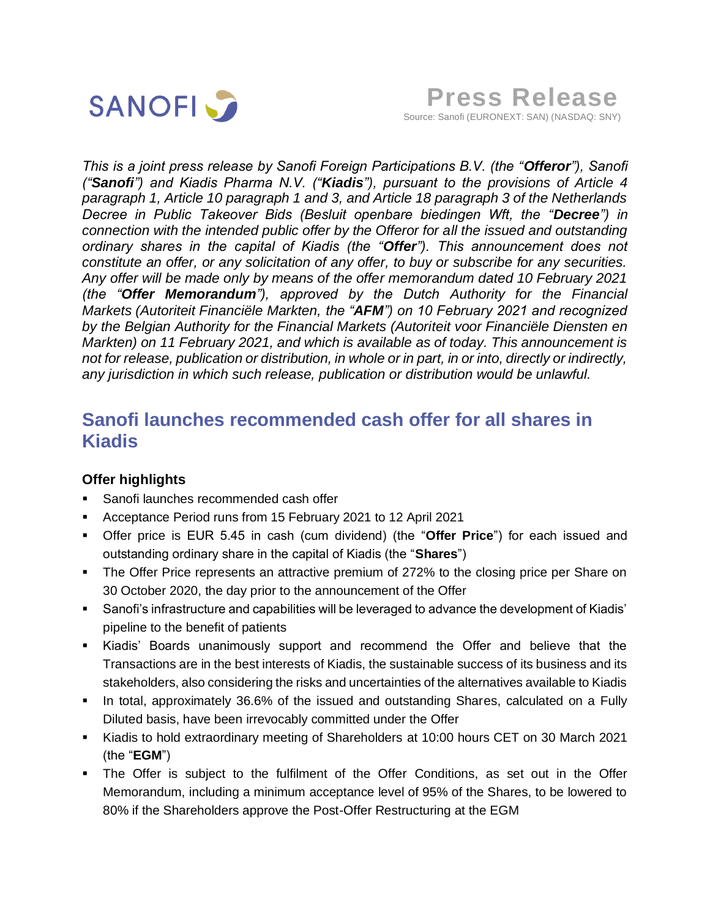

*This is a joint press release by Sanofi Foreign Participations B.V. (the "Offeror"), Sanofi ("Sanofi") and Kiadis Pharma N.V. ("Kiadis"), pursuant to the provisions of Article 4 paragraph 1, Article 10 paragraph 1 and 3, and Article 18 paragraph 3 of the Netherlands Decree in Public Takeover Bids (Besluit openbare biedingen Wft, the "Decree") in connection with the intended public offer by the Offeror for all the issued and outstanding ordinary shares in the capital of Kiadis (the "Offer"). This announcement does not constitute an offer, or any solicitation of any offer, to buy or subscribe for any securities. Any offer will be made only by means of the offer memorandum dated 10 February 2021 (the "Offer Memorandum"), approved by the Dutch Authority for the Financial Markets (Autoriteit Financiële Markten, the "AFM") on 10 February 2021 and recognized by the Belgian Authority for the Financial Markets (Autoriteit voor Financiële Diensten en Markten) on 11 February 2021, and which is available as of today. This announcement is not for release, publication or distribution, in whole or in part, in or into, directly or indirectly, any jurisdiction in which such release, publication or distribution would be unlawful.*

# **Sanofi launches recommended cash offer for all shares in Kiadis**

# **Offer highlights**

- Sanofi launches recommended cash offer
- Acceptance Period runs from 15 February 2021 to 12 April 2021
- Offer price is EUR 5.45 in cash (cum dividend) (the "**Offer Price**") for each issued and outstanding ordinary share in the capital of Kiadis (the "**Shares**")
- **The Offer Price represents an attractive premium of 272% to the closing price per Share on** 30 October 2020, the day prior to the announcement of the Offer
- Sanofi's infrastructure and capabilities will be leveraged to advance the development of Kiadis' pipeline to the benefit of patients
- Kiadis' Boards unanimously support and recommend the Offer and believe that the Transactions are in the best interests of Kiadis, the sustainable success of its business and its stakeholders, also considering the risks and uncertainties of the alternatives available to Kiadis
- In total, approximately 36.6% of the issued and outstanding Shares, calculated on a Fully Diluted basis, have been irrevocably committed under the Offer
- Kiadis to hold extraordinary meeting of Shareholders at 10:00 hours CET on 30 March 2021 (the "**EGM**")
- The Offer is subject to the fulfilment of the Offer Conditions, as set out in the Offer Memorandum, including a minimum acceptance level of 95% of the Shares, to be lowered to 80% if the Shareholders approve the Post-Offer Restructuring at the EGM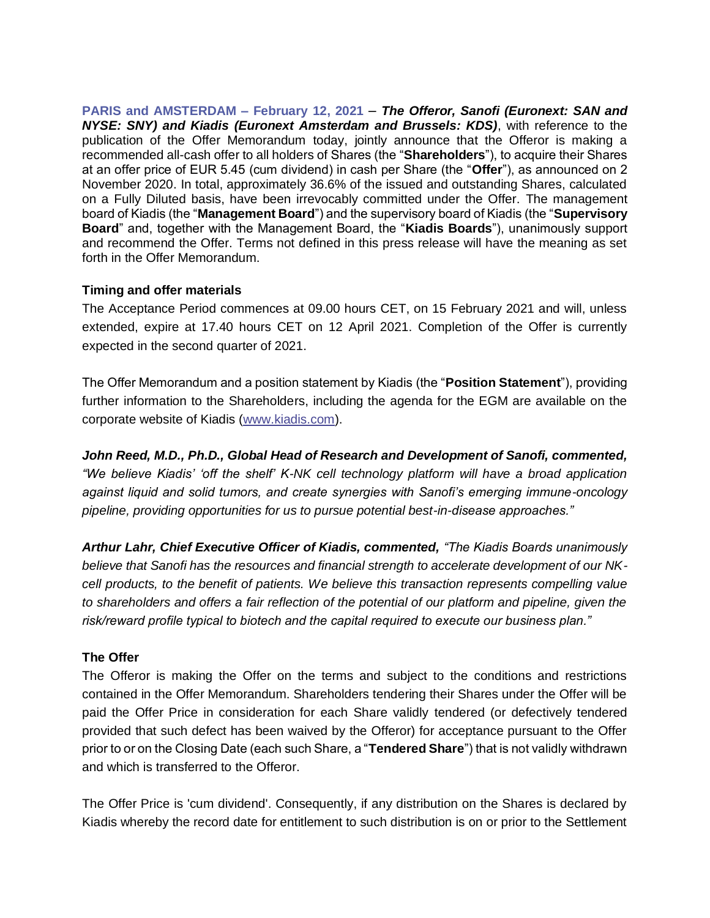**PARIS and AMSTERDAM – February 12, 2021** – *The Offeror, Sanofi (Euronext: SAN and NYSE: SNY) and Kiadis (Euronext Amsterdam and Brussels: KDS)*, with reference to the publication of the Offer Memorandum today, jointly announce that the Offeror is making a recommended all-cash offer to all holders of Shares (the "**Shareholders**"), to acquire their Shares at an offer price of EUR 5.45 (cum dividend) in cash per Share (the "**Offer**"), as announced on 2 November 2020. In total, approximately 36.6% of the issued and outstanding Shares, calculated on a Fully Diluted basis, have been irrevocably committed under the Offer. The management board of Kiadis (the "**Management Board**") and the supervisory board of Kiadis (the "**Supervisory Board**" and, together with the Management Board, the "**Kiadis Boards**"), unanimously support and recommend the Offer. Terms not defined in this press release will have the meaning as set forth in the Offer Memorandum.

# **Timing and offer materials**

The Acceptance Period commences at 09.00 hours CET, on 15 February 2021 and will, unless extended, expire at 17.40 hours CET on 12 April 2021. Completion of the Offer is currently expected in the second quarter of 2021.

The Offer Memorandum and a position statement by Kiadis (the "**Position Statement**"), providing further information to the Shareholders, including the agenda for the EGM are available on the corporate website of Kiadis [\(www.kiadis.com\)](http://www.kiadis.com/).

*John Reed, M.D., Ph.D., Global Head of Research and Development of Sanofi, commented, "We believe Kiadis' 'off the shelf' K-NK cell technology platform will have a broad application against liquid and solid tumors, and create synergies with Sanofi's emerging immune-oncology pipeline, providing opportunities for us to pursue potential best-in-disease approaches."*

*Arthur Lahr, Chief Executive Officer of Kiadis, commented, "The Kiadis Boards unanimously believe that Sanofi has the resources and financial strength to accelerate development of our NKcell products, to the benefit of patients. We believe this transaction represents compelling value to shareholders and offers a fair reflection of the potential of our platform and pipeline, given the risk/reward profile typical to biotech and the capital required to execute our business plan."* 

# **The Offer**

The Offeror is making the Offer on the terms and subject to the conditions and restrictions contained in the Offer Memorandum. Shareholders tendering their Shares under the Offer will be paid the Offer Price in consideration for each Share validly tendered (or defectively tendered provided that such defect has been waived by the Offeror) for acceptance pursuant to the Offer prior to or on the Closing Date (each such Share, a "**Tendered Share**") that is not validly withdrawn and which is transferred to the Offeror.

The Offer Price is 'cum dividend'. Consequently, if any distribution on the Shares is declared by Kiadis whereby the record date for entitlement to such distribution is on or prior to the Settlement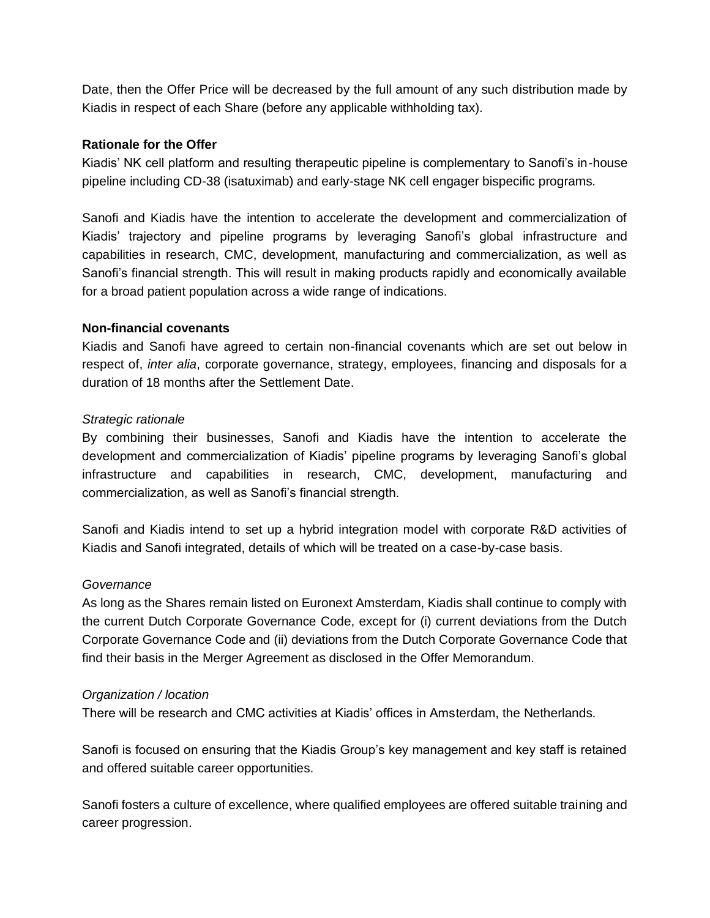Date, then the Offer Price will be decreased by the full amount of any such distribution made by Kiadis in respect of each Share (before any applicable withholding tax).

### **Rationale for the Offer**

Kiadis' NK cell platform and resulting therapeutic pipeline is complementary to Sanofi's in-house pipeline including CD-38 (isatuximab) and early-stage NK cell engager bispecific programs.

Sanofi and Kiadis have the intention to accelerate the development and commercialization of Kiadis' trajectory and pipeline programs by leveraging Sanofi's global infrastructure and capabilities in research, CMC, development, manufacturing and commercialization, as well as Sanofi's financial strength. This will result in making products rapidly and economically available for a broad patient population across a wide range of indications.

#### **Non-financial covenants**

Kiadis and Sanofi have agreed to certain non-financial covenants which are set out below in respect of, *inter alia*, corporate governance, strategy, employees, financing and disposals for a duration of 18 months after the Settlement Date.

#### *Strategic rationale*

By combining their businesses, Sanofi and Kiadis have the intention to accelerate the development and commercialization of Kiadis' pipeline programs by leveraging Sanofi's global infrastructure and capabilities in research, CMC, development, manufacturing and commercialization, as well as Sanofi's financial strength.

Sanofi and Kiadis intend to set up a hybrid integration model with corporate R&D activities of Kiadis and Sanofi integrated, details of which will be treated on a case-by-case basis.

#### *Governance*

As long as the Shares remain listed on Euronext Amsterdam, Kiadis shall continue to comply with the current Dutch Corporate Governance Code, except for (i) current deviations from the Dutch Corporate Governance Code and (ii) deviations from the Dutch Corporate Governance Code that find their basis in the Merger Agreement as disclosed in the Offer Memorandum.

#### *Organization / location*

There will be research and CMC activities at Kiadis' offices in Amsterdam, the Netherlands.

Sanofi is focused on ensuring that the Kiadis Group's key management and key staff is retained and offered suitable career opportunities.

Sanofi fosters a culture of excellence, where qualified employees are offered suitable training and career progression.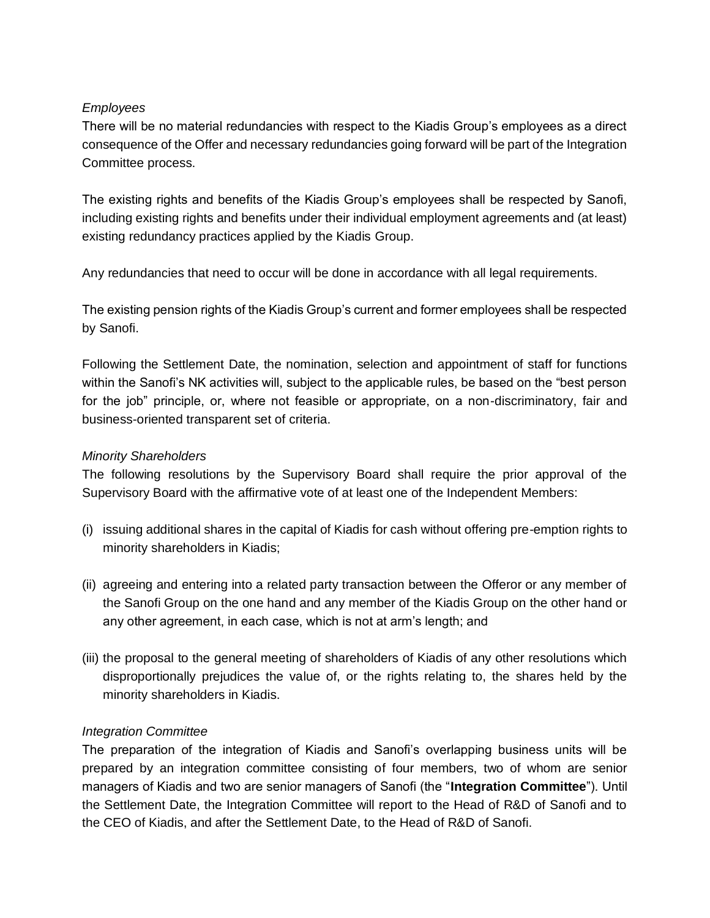# *Employees*

There will be no material redundancies with respect to the Kiadis Group's employees as a direct consequence of the Offer and necessary redundancies going forward will be part of the Integration Committee process.

The existing rights and benefits of the Kiadis Group's employees shall be respected by Sanofi, including existing rights and benefits under their individual employment agreements and (at least) existing redundancy practices applied by the Kiadis Group.

Any redundancies that need to occur will be done in accordance with all legal requirements.

The existing pension rights of the Kiadis Group's current and former employees shall be respected by Sanofi.

Following the Settlement Date, the nomination, selection and appointment of staff for functions within the Sanofi's NK activities will, subject to the applicable rules, be based on the "best person for the job" principle, or, where not feasible or appropriate, on a non-discriminatory, fair and business-oriented transparent set of criteria.

# *Minority Shareholders*

The following resolutions by the Supervisory Board shall require the prior approval of the Supervisory Board with the affirmative vote of at least one of the Independent Members:

- (i) issuing additional shares in the capital of Kiadis for cash without offering pre-emption rights to minority shareholders in Kiadis;
- (ii) agreeing and entering into a related party transaction between the Offeror or any member of the Sanofi Group on the one hand and any member of the Kiadis Group on the other hand or any other agreement, in each case, which is not at arm's length; and
- (iii) the proposal to the general meeting of shareholders of Kiadis of any other resolutions which disproportionally prejudices the value of, or the rights relating to, the shares held by the minority shareholders in Kiadis.

### *Integration Committee*

The preparation of the integration of Kiadis and Sanofi's overlapping business units will be prepared by an integration committee consisting of four members, two of whom are senior managers of Kiadis and two are senior managers of Sanofi (the "**Integration Committee**"). Until the Settlement Date, the Integration Committee will report to the Head of R&D of Sanofi and to the CEO of Kiadis, and after the Settlement Date, to the Head of R&D of Sanofi.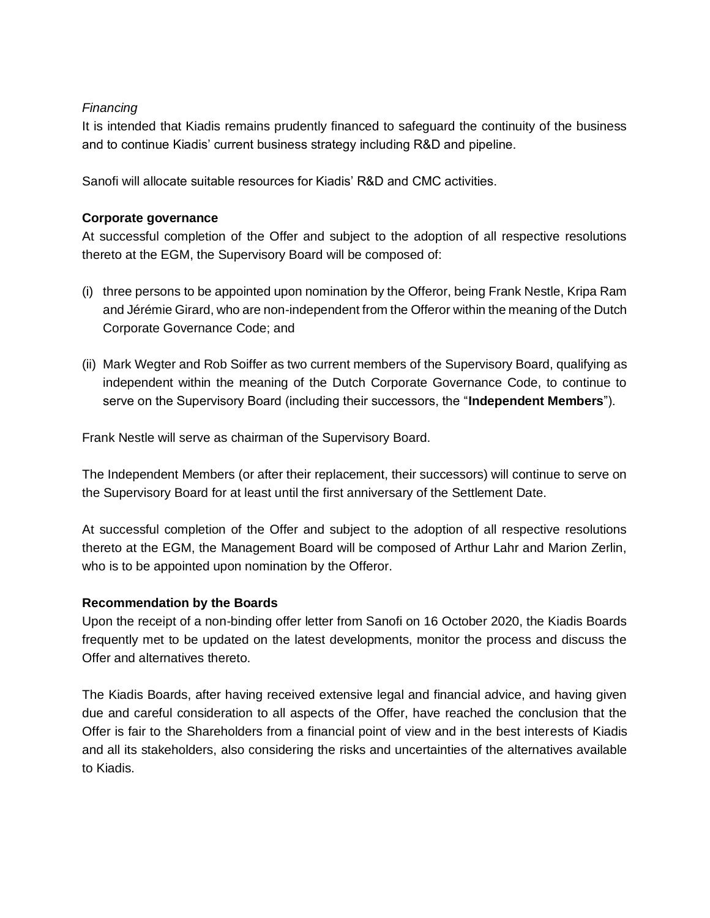# *Financing*

It is intended that Kiadis remains prudently financed to safeguard the continuity of the business and to continue Kiadis' current business strategy including R&D and pipeline.

Sanofi will allocate suitable resources for Kiadis' R&D and CMC activities.

# **Corporate governance**

At successful completion of the Offer and subject to the adoption of all respective resolutions thereto at the EGM, the Supervisory Board will be composed of:

- (i) three persons to be appointed upon nomination by the Offeror, being Frank Nestle, Kripa Ram and Jérémie Girard, who are non-independent from the Offeror within the meaning of the Dutch Corporate Governance Code; and
- (ii) Mark Wegter and Rob Soiffer as two current members of the Supervisory Board, qualifying as independent within the meaning of the Dutch Corporate Governance Code, to continue to serve on the Supervisory Board (including their successors, the "**Independent Members**").

Frank Nestle will serve as chairman of the Supervisory Board.

The Independent Members (or after their replacement, their successors) will continue to serve on the Supervisory Board for at least until the first anniversary of the Settlement Date.

At successful completion of the Offer and subject to the adoption of all respective resolutions thereto at the EGM, the Management Board will be composed of Arthur Lahr and Marion Zerlin, who is to be appointed upon nomination by the Offeror.

### **Recommendation by the Boards**

Upon the receipt of a non-binding offer letter from Sanofi on 16 October 2020, the Kiadis Boards frequently met to be updated on the latest developments, monitor the process and discuss the Offer and alternatives thereto.

The Kiadis Boards, after having received extensive legal and financial advice, and having given due and careful consideration to all aspects of the Offer, have reached the conclusion that the Offer is fair to the Shareholders from a financial point of view and in the best interests of Kiadis and all its stakeholders, also considering the risks and uncertainties of the alternatives available to Kiadis.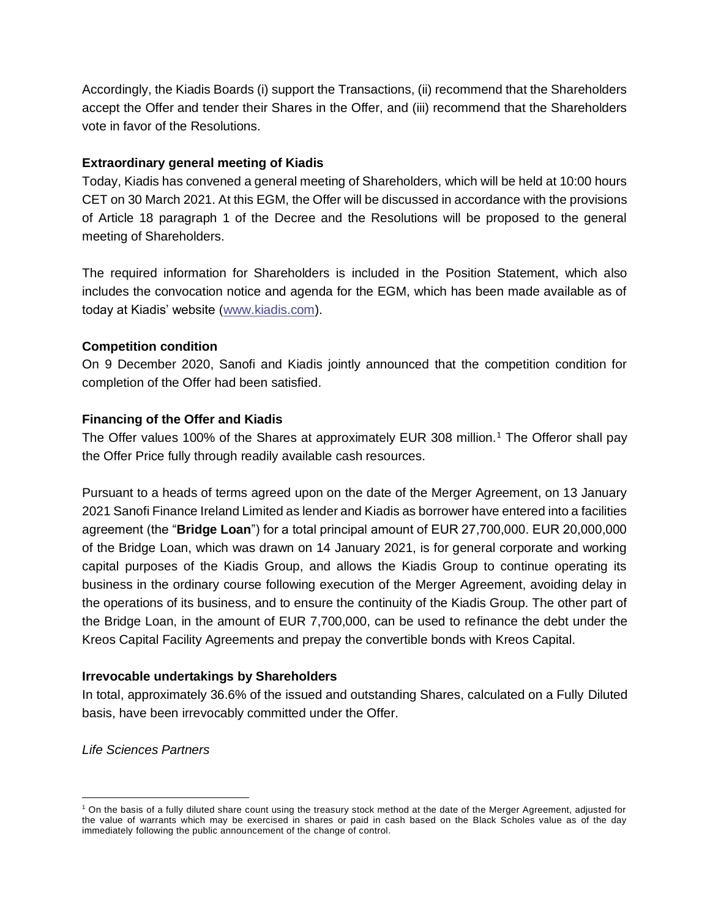Accordingly, the Kiadis Boards (i) support the Transactions, (ii) recommend that the Shareholders accept the Offer and tender their Shares in the Offer, and (iii) recommend that the Shareholders vote in favor of the Resolutions.

# **Extraordinary general meeting of Kiadis**

Today, Kiadis has convened a general meeting of Shareholders, which will be held at 10:00 hours CET on 30 March 2021. At this EGM, the Offer will be discussed in accordance with the provisions of Article 18 paragraph 1 of the Decree and the Resolutions will be proposed to the general meeting of Shareholders.

The required information for Shareholders is included in the Position Statement, which also includes the convocation notice and agenda for the EGM, which has been made available as of today at Kiadis' website [\(www.kiadis.com\)](http://www.kiadis.com/).

# **Competition condition**

On 9 December 2020, Sanofi and Kiadis jointly announced that the competition condition for completion of the Offer had been satisfied.

# **Financing of the Offer and Kiadis**

The Offer values 100% of the Shares at approximately EUR 308 million.<sup>1</sup> The Offeror shall pay the Offer Price fully through readily available cash resources.

Pursuant to a heads of terms agreed upon on the date of the Merger Agreement, on 13 January 2021 Sanofi Finance Ireland Limited as lender and Kiadis as borrower have entered into a facilities agreement (the "**Bridge Loan**") for a total principal amount of EUR 27,700,000. EUR 20,000,000 of the Bridge Loan, which was drawn on 14 January 2021, is for general corporate and working capital purposes of the Kiadis Group, and allows the Kiadis Group to continue operating its business in the ordinary course following execution of the Merger Agreement, avoiding delay in the operations of its business, and to ensure the continuity of the Kiadis Group. The other part of the Bridge Loan, in the amount of EUR 7,700,000, can be used to refinance the debt under the Kreos Capital Facility Agreements and prepay the convertible bonds with Kreos Capital.

# **Irrevocable undertakings by Shareholders**

In total, approximately 36.6% of the issued and outstanding Shares, calculated on a Fully Diluted basis, have been irrevocably committed under the Offer.

*Life Sciences Partners*

<sup>1</sup> On the basis of a fully diluted share count using the treasury stock method at the date of the Merger Agreement, adjusted for the value of warrants which may be exercised in shares or paid in cash based on the Black Scholes value as of the day immediately following the public announcement of the change of control.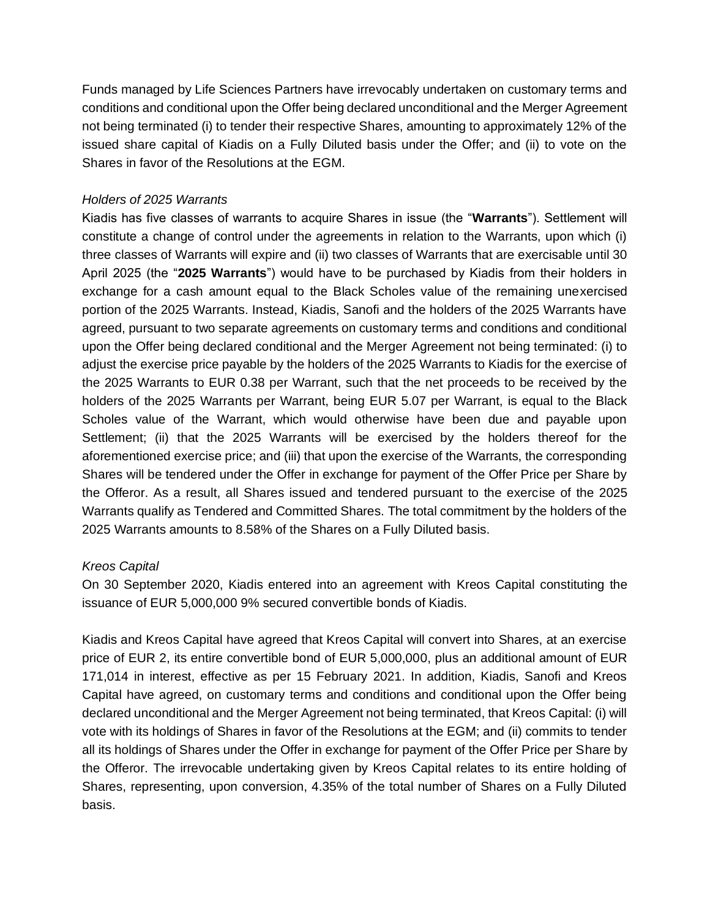Funds managed by Life Sciences Partners have irrevocably undertaken on customary terms and conditions and conditional upon the Offer being declared unconditional and the Merger Agreement not being terminated (i) to tender their respective Shares, amounting to approximately 12% of the issued share capital of Kiadis on a Fully Diluted basis under the Offer; and (ii) to vote on the Shares in favor of the Resolutions at the EGM.

## *Holders of 2025 Warrants*

Kiadis has five classes of warrants to acquire Shares in issue (the "**Warrants**"). Settlement will constitute a change of control under the agreements in relation to the Warrants, upon which (i) three classes of Warrants will expire and (ii) two classes of Warrants that are exercisable until 30 April 2025 (the "**2025 Warrants**") would have to be purchased by Kiadis from their holders in exchange for a cash amount equal to the Black Scholes value of the remaining unexercised portion of the 2025 Warrants. Instead, Kiadis, Sanofi and the holders of the 2025 Warrants have agreed, pursuant to two separate agreements on customary terms and conditions and conditional upon the Offer being declared conditional and the Merger Agreement not being terminated: (i) to adjust the exercise price payable by the holders of the 2025 Warrants to Kiadis for the exercise of the 2025 Warrants to EUR 0.38 per Warrant, such that the net proceeds to be received by the holders of the 2025 Warrants per Warrant, being EUR 5.07 per Warrant, is equal to the Black Scholes value of the Warrant, which would otherwise have been due and payable upon Settlement; (ii) that the 2025 Warrants will be exercised by the holders thereof for the aforementioned exercise price; and (iii) that upon the exercise of the Warrants, the corresponding Shares will be tendered under the Offer in exchange for payment of the Offer Price per Share by the Offeror. As a result, all Shares issued and tendered pursuant to the exercise of the 2025 Warrants qualify as Tendered and Committed Shares. The total commitment by the holders of the 2025 Warrants amounts to 8.58% of the Shares on a Fully Diluted basis.

# *Kreos Capital*

On 30 September 2020, Kiadis entered into an agreement with Kreos Capital constituting the issuance of EUR 5,000,000 9% secured convertible bonds of Kiadis.

Kiadis and Kreos Capital have agreed that Kreos Capital will convert into Shares, at an exercise price of EUR 2, its entire convertible bond of EUR 5,000,000, plus an additional amount of EUR 171,014 in interest, effective as per 15 February 2021. In addition, Kiadis, Sanofi and Kreos Capital have agreed, on customary terms and conditions and conditional upon the Offer being declared unconditional and the Merger Agreement not being terminated, that Kreos Capital: (i) will vote with its holdings of Shares in favor of the Resolutions at the EGM; and (ii) commits to tender all its holdings of Shares under the Offer in exchange for payment of the Offer Price per Share by the Offeror. The irrevocable undertaking given by Kreos Capital relates to its entire holding of Shares, representing, upon conversion, 4.35% of the total number of Shares on a Fully Diluted basis.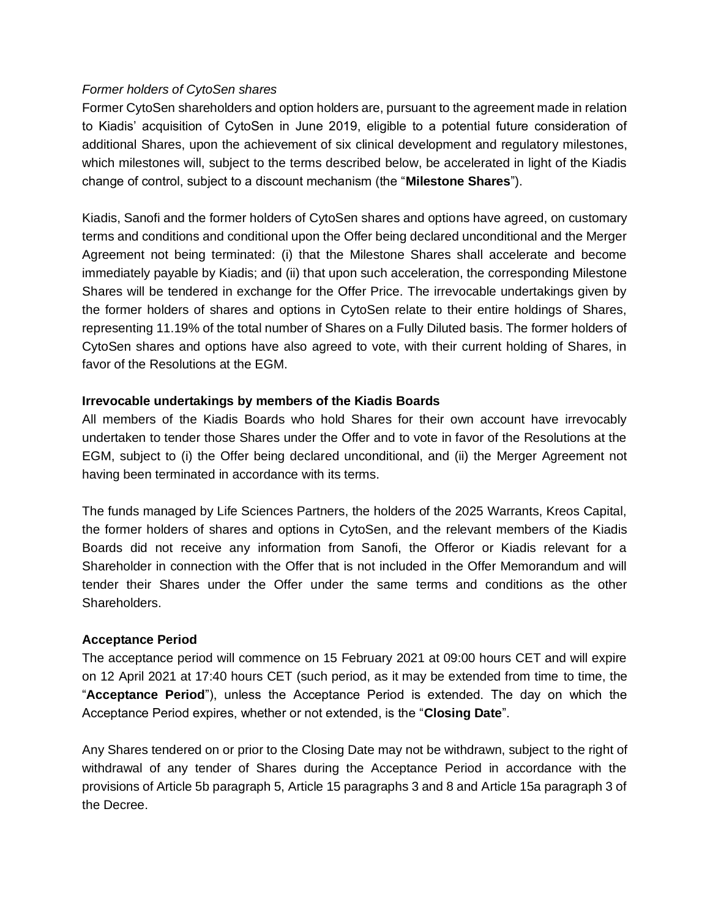### *Former holders of CytoSen shares*

Former CytoSen shareholders and option holders are, pursuant to the agreement made in relation to Kiadis' acquisition of CytoSen in June 2019, eligible to a potential future consideration of additional Shares, upon the achievement of six clinical development and regulatory milestones, which milestones will, subject to the terms described below, be accelerated in light of the Kiadis change of control, subject to a discount mechanism (the "**Milestone Shares**").

Kiadis, Sanofi and the former holders of CytoSen shares and options have agreed, on customary terms and conditions and conditional upon the Offer being declared unconditional and the Merger Agreement not being terminated: (i) that the Milestone Shares shall accelerate and become immediately payable by Kiadis; and (ii) that upon such acceleration, the corresponding Milestone Shares will be tendered in exchange for the Offer Price. The irrevocable undertakings given by the former holders of shares and options in CytoSen relate to their entire holdings of Shares, representing 11.19% of the total number of Shares on a Fully Diluted basis. The former holders of CytoSen shares and options have also agreed to vote, with their current holding of Shares, in favor of the Resolutions at the EGM.

# **Irrevocable undertakings by members of the Kiadis Boards**

All members of the Kiadis Boards who hold Shares for their own account have irrevocably undertaken to tender those Shares under the Offer and to vote in favor of the Resolutions at the EGM, subject to (i) the Offer being declared unconditional, and (ii) the Merger Agreement not having been terminated in accordance with its terms.

The funds managed by Life Sciences Partners, the holders of the 2025 Warrants, Kreos Capital, the former holders of shares and options in CytoSen, and the relevant members of the Kiadis Boards did not receive any information from Sanofi, the Offeror or Kiadis relevant for a Shareholder in connection with the Offer that is not included in the Offer Memorandum and will tender their Shares under the Offer under the same terms and conditions as the other Shareholders.

### **Acceptance Period**

The acceptance period will commence on 15 February 2021 at 09:00 hours CET and will expire on 12 April 2021 at 17:40 hours CET (such period, as it may be extended from time to time, the "**Acceptance Period**"), unless the Acceptance Period is extended. The day on which the Acceptance Period expires, whether or not extended, is the "**Closing Date**".

Any Shares tendered on or prior to the Closing Date may not be withdrawn, subject to the right of withdrawal of any tender of Shares during the Acceptance Period in accordance with the provisions of Article 5b paragraph 5, Article 15 paragraphs 3 and 8 and Article 15a paragraph 3 of the Decree.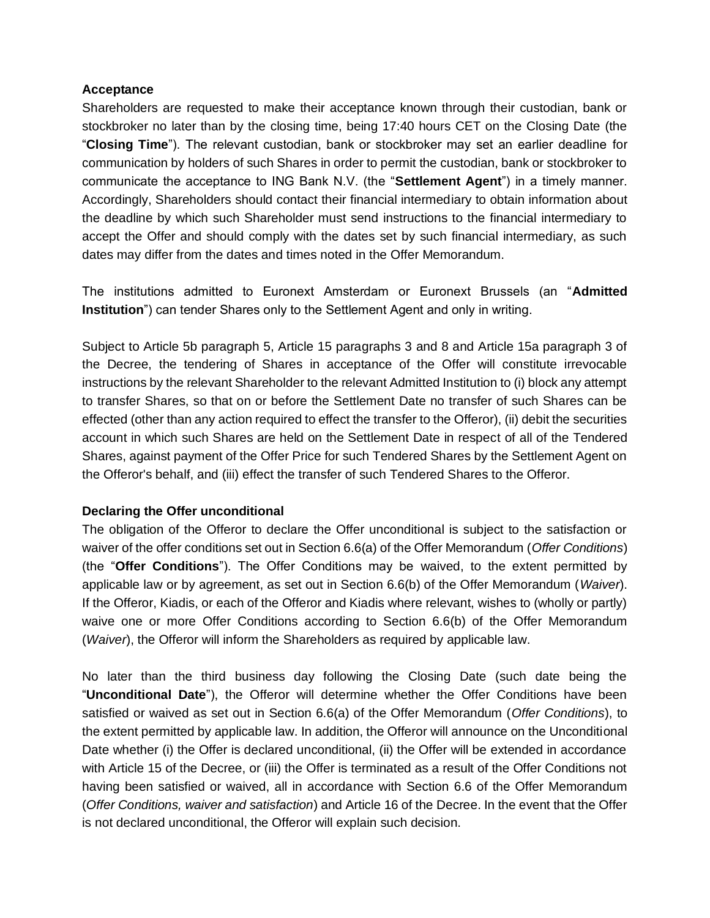#### **Acceptance**

Shareholders are requested to make their acceptance known through their custodian, bank or stockbroker no later than by the closing time, being 17:40 hours CET on the Closing Date (the "**Closing Time**"). The relevant custodian, bank or stockbroker may set an earlier deadline for communication by holders of such Shares in order to permit the custodian, bank or stockbroker to communicate the acceptance to ING Bank N.V. (the "**Settlement Agent**") in a timely manner. Accordingly, Shareholders should contact their financial intermediary to obtain information about the deadline by which such Shareholder must send instructions to the financial intermediary to accept the Offer and should comply with the dates set by such financial intermediary, as such dates may differ from the dates and times noted in the Offer Memorandum.

The institutions admitted to Euronext Amsterdam or Euronext Brussels (an "**Admitted Institution**") can tender Shares only to the Settlement Agent and only in writing.

Subject to Article 5b paragraph 5, Article 15 paragraphs 3 and 8 and Article 15a paragraph 3 of the Decree, the tendering of Shares in acceptance of the Offer will constitute irrevocable instructions by the relevant Shareholder to the relevant Admitted Institution to (i) block any attempt to transfer Shares, so that on or before the Settlement Date no transfer of such Shares can be effected (other than any action required to effect the transfer to the Offeror), (ii) debit the securities account in which such Shares are held on the Settlement Date in respect of all of the Tendered Shares, against payment of the Offer Price for such Tendered Shares by the Settlement Agent on the Offeror's behalf, and (iii) effect the transfer of such Tendered Shares to the Offeror.

### **Declaring the Offer unconditional**

The obligation of the Offeror to declare the Offer unconditional is subject to the satisfaction or waiver of the offer conditions set out in Section 6.6(a) of the Offer Memorandum (*Offer Conditions*) (the "**Offer Conditions**"). The Offer Conditions may be waived, to the extent permitted by applicable law or by agreement, as set out in Section 6.6(b) of the Offer Memorandum (*Waiver*). If the Offeror, Kiadis, or each of the Offeror and Kiadis where relevant, wishes to (wholly or partly) waive one or more Offer Conditions according to Section 6.6(b) of the Offer Memorandum (*Waiver*), the Offeror will inform the Shareholders as required by applicable law.

No later than the third business day following the Closing Date (such date being the "**Unconditional Date**"), the Offeror will determine whether the Offer Conditions have been satisfied or waived as set out in Section 6.6(a) of the Offer Memorandum (*Offer Conditions*), to the extent permitted by applicable law. In addition, the Offeror will announce on the Unconditional Date whether (i) the Offer is declared unconditional, (ii) the Offer will be extended in accordance with Article 15 of the Decree, or (iii) the Offer is terminated as a result of the Offer Conditions not having been satisfied or waived, all in accordance with Section 6.6 of the Offer Memorandum (*Offer Conditions, waiver and satisfaction*) and Article 16 of the Decree. In the event that the Offer is not declared unconditional, the Offeror will explain such decision.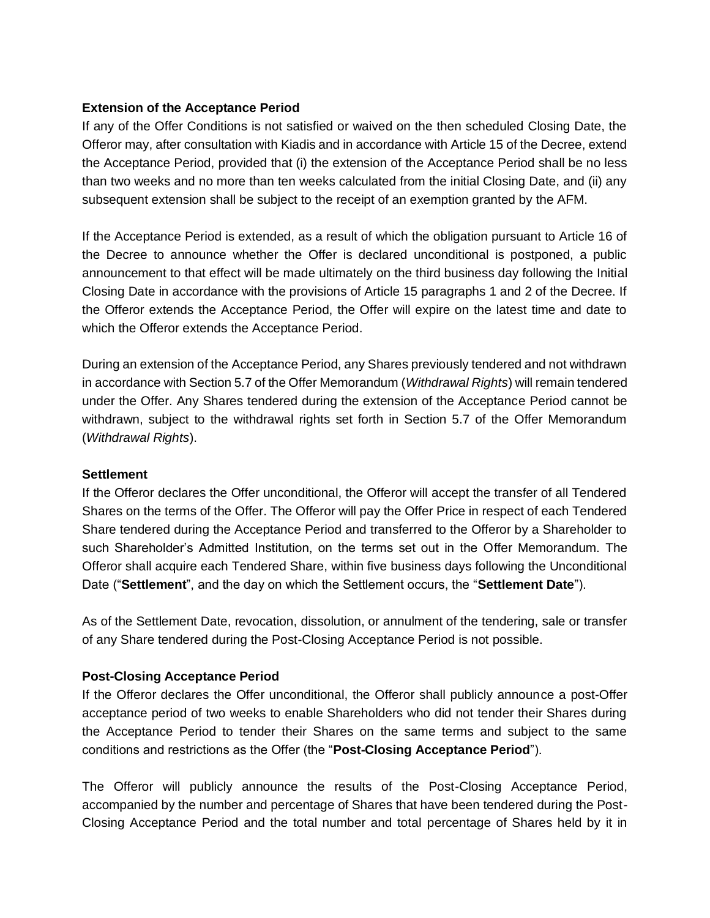# **Extension of the Acceptance Period**

If any of the Offer Conditions is not satisfied or waived on the then scheduled Closing Date, the Offeror may, after consultation with Kiadis and in accordance with Article 15 of the Decree, extend the Acceptance Period, provided that (i) the extension of the Acceptance Period shall be no less than two weeks and no more than ten weeks calculated from the initial Closing Date, and (ii) any subsequent extension shall be subject to the receipt of an exemption granted by the AFM.

If the Acceptance Period is extended, as a result of which the obligation pursuant to Article 16 of the Decree to announce whether the Offer is declared unconditional is postponed, a public announcement to that effect will be made ultimately on the third business day following the Initial Closing Date in accordance with the provisions of Article 15 paragraphs 1 and 2 of the Decree. If the Offeror extends the Acceptance Period, the Offer will expire on the latest time and date to which the Offeror extends the Acceptance Period.

During an extension of the Acceptance Period, any Shares previously tendered and not withdrawn in accordance with Section 5.7 of the Offer Memorandum (*Withdrawal Rights*) will remain tendered under the Offer. Any Shares tendered during the extension of the Acceptance Period cannot be withdrawn, subject to the withdrawal rights set forth in Section 5.7 of the Offer Memorandum (*Withdrawal Rights*).

### **Settlement**

If the Offeror declares the Offer unconditional, the Offeror will accept the transfer of all Tendered Shares on the terms of the Offer. The Offeror will pay the Offer Price in respect of each Tendered Share tendered during the Acceptance Period and transferred to the Offeror by a Shareholder to such Shareholder's Admitted Institution, on the terms set out in the Offer Memorandum. The Offeror shall acquire each Tendered Share, within five business days following the Unconditional Date ("**Settlement**", and the day on which the Settlement occurs, the "**Settlement Date**").

As of the Settlement Date, revocation, dissolution, or annulment of the tendering, sale or transfer of any Share tendered during the Post-Closing Acceptance Period is not possible.

# **Post-Closing Acceptance Period**

If the Offeror declares the Offer unconditional, the Offeror shall publicly announce a post-Offer acceptance period of two weeks to enable Shareholders who did not tender their Shares during the Acceptance Period to tender their Shares on the same terms and subject to the same conditions and restrictions as the Offer (the "**Post-Closing Acceptance Period**").

The Offeror will publicly announce the results of the Post-Closing Acceptance Period, accompanied by the number and percentage of Shares that have been tendered during the Post-Closing Acceptance Period and the total number and total percentage of Shares held by it in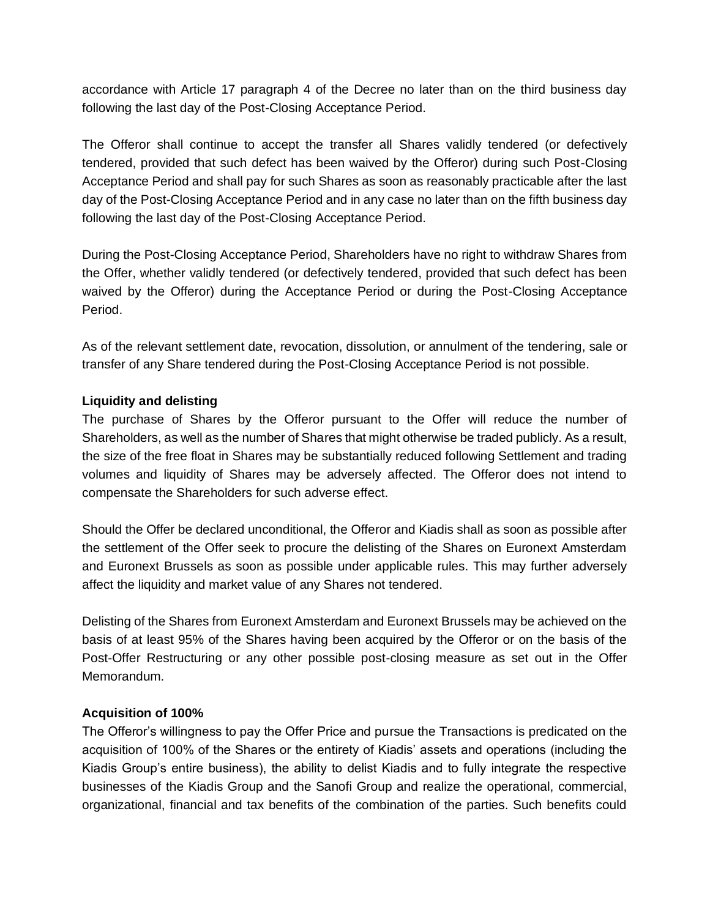accordance with Article 17 paragraph 4 of the Decree no later than on the third business day following the last day of the Post-Closing Acceptance Period.

The Offeror shall continue to accept the transfer all Shares validly tendered (or defectively tendered, provided that such defect has been waived by the Offeror) during such Post-Closing Acceptance Period and shall pay for such Shares as soon as reasonably practicable after the last day of the Post-Closing Acceptance Period and in any case no later than on the fifth business day following the last day of the Post-Closing Acceptance Period.

During the Post-Closing Acceptance Period, Shareholders have no right to withdraw Shares from the Offer, whether validly tendered (or defectively tendered, provided that such defect has been waived by the Offeror) during the Acceptance Period or during the Post-Closing Acceptance Period.

As of the relevant settlement date, revocation, dissolution, or annulment of the tendering, sale or transfer of any Share tendered during the Post-Closing Acceptance Period is not possible.

### **Liquidity and delisting**

The purchase of Shares by the Offeror pursuant to the Offer will reduce the number of Shareholders, as well as the number of Shares that might otherwise be traded publicly. As a result, the size of the free float in Shares may be substantially reduced following Settlement and trading volumes and liquidity of Shares may be adversely affected. The Offeror does not intend to compensate the Shareholders for such adverse effect.

Should the Offer be declared unconditional, the Offeror and Kiadis shall as soon as possible after the settlement of the Offer seek to procure the delisting of the Shares on Euronext Amsterdam and Euronext Brussels as soon as possible under applicable rules. This may further adversely affect the liquidity and market value of any Shares not tendered.

Delisting of the Shares from Euronext Amsterdam and Euronext Brussels may be achieved on the basis of at least 95% of the Shares having been acquired by the Offeror or on the basis of the Post-Offer Restructuring or any other possible post-closing measure as set out in the Offer Memorandum.

### **Acquisition of 100%**

The Offeror's willingness to pay the Offer Price and pursue the Transactions is predicated on the acquisition of 100% of the Shares or the entirety of Kiadis' assets and operations (including the Kiadis Group's entire business), the ability to delist Kiadis and to fully integrate the respective businesses of the Kiadis Group and the Sanofi Group and realize the operational, commercial, organizational, financial and tax benefits of the combination of the parties. Such benefits could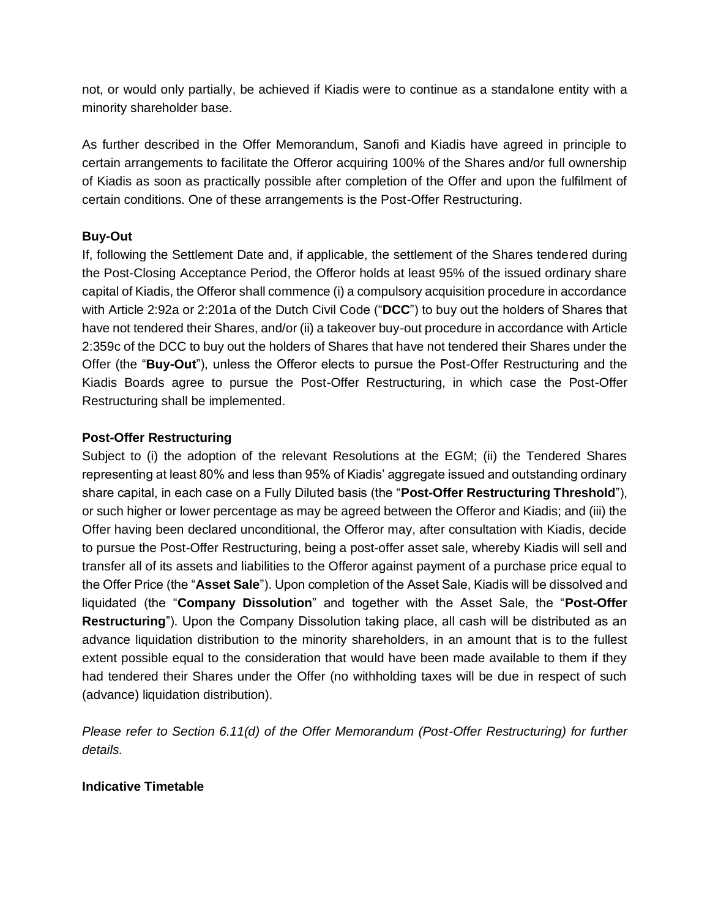not, or would only partially, be achieved if Kiadis were to continue as a standalone entity with a minority shareholder base.

As further described in the Offer Memorandum, Sanofi and Kiadis have agreed in principle to certain arrangements to facilitate the Offeror acquiring 100% of the Shares and/or full ownership of Kiadis as soon as practically possible after completion of the Offer and upon the fulfilment of certain conditions. One of these arrangements is the Post-Offer Restructuring.

# **Buy-Out**

If, following the Settlement Date and, if applicable, the settlement of the Shares tendered during the Post-Closing Acceptance Period, the Offeror holds at least 95% of the issued ordinary share capital of Kiadis, the Offeror shall commence (i) a compulsory acquisition procedure in accordance with Article 2:92a or 2:201a of the Dutch Civil Code ("**DCC**") to buy out the holders of Shares that have not tendered their Shares, and/or (ii) a takeover buy-out procedure in accordance with Article 2:359c of the DCC to buy out the holders of Shares that have not tendered their Shares under the Offer (the "**Buy-Out**"), unless the Offeror elects to pursue the Post-Offer Restructuring and the Kiadis Boards agree to pursue the Post-Offer Restructuring, in which case the Post-Offer Restructuring shall be implemented.

# **Post-Offer Restructuring**

Subject to (i) the adoption of the relevant Resolutions at the EGM; (ii) the Tendered Shares representing at least 80% and less than 95% of Kiadis' aggregate issued and outstanding ordinary share capital, in each case on a Fully Diluted basis (the "**Post-Offer Restructuring Threshold**"), or such higher or lower percentage as may be agreed between the Offeror and Kiadis; and (iii) the Offer having been declared unconditional, the Offeror may, after consultation with Kiadis, decide to pursue the Post-Offer Restructuring, being a post-offer asset sale, whereby Kiadis will sell and transfer all of its assets and liabilities to the Offeror against payment of a purchase price equal to the Offer Price (the "**Asset Sale**"). Upon completion of the Asset Sale, Kiadis will be dissolved and liquidated (the "**Company Dissolution**" and together with the Asset Sale, the "**Post-Offer Restructuring**"). Upon the Company Dissolution taking place, all cash will be distributed as an advance liquidation distribution to the minority shareholders, in an amount that is to the fullest extent possible equal to the consideration that would have been made available to them if they had tendered their Shares under the Offer (no withholding taxes will be due in respect of such (advance) liquidation distribution).

*Please refer to Section 6.11(d) of the Offer Memorandum (Post-Offer Restructuring) for further details.*

# **Indicative Timetable**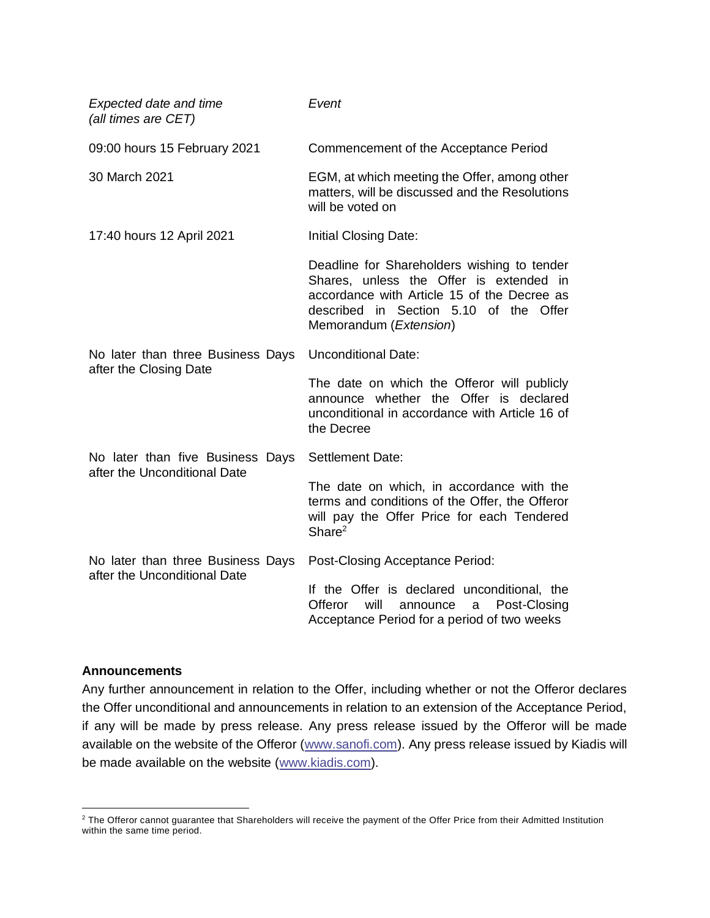| <b>Expected date and time</b><br>(all times are CET)              | Event                                                                                                                                                                                                     |
|-------------------------------------------------------------------|-----------------------------------------------------------------------------------------------------------------------------------------------------------------------------------------------------------|
| 09:00 hours 15 February 2021                                      | Commencement of the Acceptance Period                                                                                                                                                                     |
| 30 March 2021                                                     | EGM, at which meeting the Offer, among other<br>matters, will be discussed and the Resolutions<br>will be voted on                                                                                        |
| 17:40 hours 12 April 2021                                         | Initial Closing Date:                                                                                                                                                                                     |
|                                                                   | Deadline for Shareholders wishing to tender<br>Shares, unless the Offer is extended in<br>accordance with Article 15 of the Decree as<br>described in Section 5.10 of the Offer<br>Memorandum (Extension) |
| No later than three Business Days<br>after the Closing Date       | <b>Unconditional Date:</b>                                                                                                                                                                                |
|                                                                   | The date on which the Offeror will publicly<br>announce whether the Offer is declared<br>unconditional in accordance with Article 16 of<br>the Decree                                                     |
| No later than five Business Days<br>after the Unconditional Date  | <b>Settlement Date:</b>                                                                                                                                                                                   |
|                                                                   | The date on which, in accordance with the<br>terms and conditions of the Offer, the Offeror<br>will pay the Offer Price for each Tendered<br>Share <sup>2</sup>                                           |
| No later than three Business Days<br>after the Unconditional Date | Post-Closing Acceptance Period:                                                                                                                                                                           |
|                                                                   | If the Offer is declared unconditional, the<br>will<br>Offeror<br>Post-Closing<br>announce<br>a<br>Acceptance Period for a period of two weeks                                                            |

#### **Announcements**

Any further announcement in relation to the Offer, including whether or not the Offeror declares the Offer unconditional and announcements in relation to an extension of the Acceptance Period, if any will be made by press release. Any press release issued by the Offeror will be made available on the website of the Offeror [\(www.sanofi.com\)](http://www.sanofi.com/). Any press release issued by Kiadis will be made available on the website [\(www.kiadis.com\)](http://www.kiadis.com/).

<sup>&</sup>lt;sup>2</sup> The Offeror cannot guarantee that Shareholders will receive the payment of the Offer Price from their Admitted Institution within the same time period.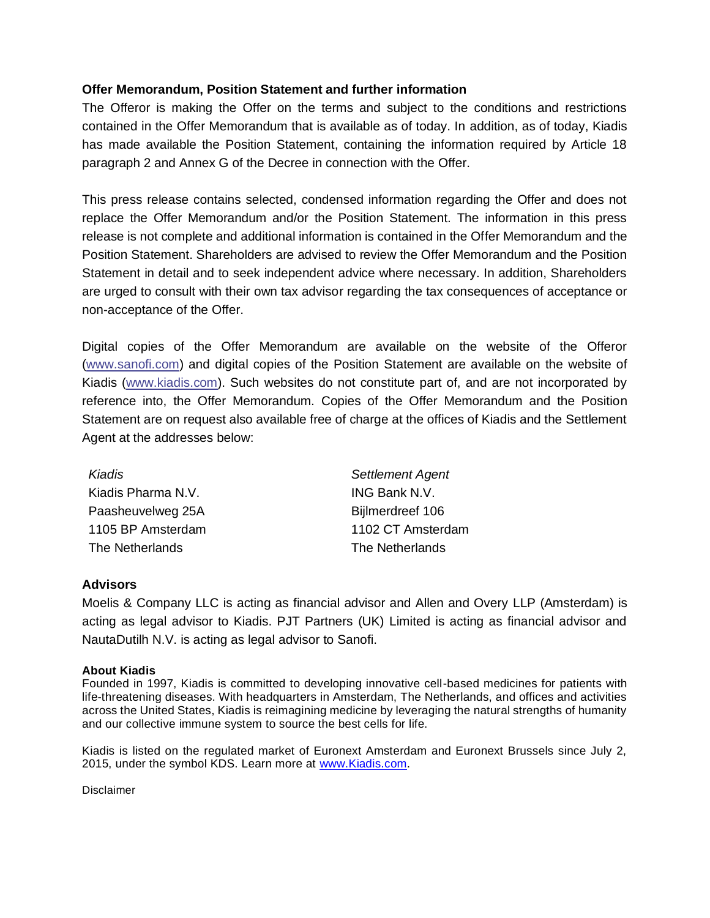### **Offer Memorandum, Position Statement and further information**

The Offeror is making the Offer on the terms and subject to the conditions and restrictions contained in the Offer Memorandum that is available as of today. In addition, as of today, Kiadis has made available the Position Statement, containing the information required by Article 18 paragraph 2 and Annex G of the Decree in connection with the Offer.

This press release contains selected, condensed information regarding the Offer and does not replace the Offer Memorandum and/or the Position Statement. The information in this press release is not complete and additional information is contained in the Offer Memorandum and the Position Statement. Shareholders are advised to review the Offer Memorandum and the Position Statement in detail and to seek independent advice where necessary. In addition, Shareholders are urged to consult with their own tax advisor regarding the tax consequences of acceptance or non-acceptance of the Offer.

Digital copies of the Offer Memorandum are available on the website of the Offeror [\(www.sanofi.com\)](http://www.sanofi.com/) and digital copies of the Position Statement are available on the website of Kiadis [\(www.kiadis.com\)](http://www.kiadis.com/). Such websites do not constitute part of, and are not incorporated by reference into, the Offer Memorandum. Copies of the Offer Memorandum and the Position Statement are on request also available free of charge at the offices of Kiadis and the Settlement Agent at the addresses below:

| Kiadis             | <b>Settlement Agent</b> |
|--------------------|-------------------------|
| Kiadis Pharma N.V. | <b>ING Bank N.V.</b>    |
| Paasheuvelweg 25A  | Bijlmerdreef 106        |
| 1105 BP Amsterdam  | 1102 CT Amsterdam       |
| The Netherlands    | The Netherlands         |

#### **Advisors**

Moelis & Company LLC is acting as financial advisor and Allen and Overy LLP (Amsterdam) is acting as legal advisor to Kiadis. PJT Partners (UK) Limited is acting as financial advisor and NautaDutilh N.V. is acting as legal advisor to Sanofi.

#### **About Kiadis**

Founded in 1997, Kiadis is committed to developing innovative cell-based medicines for patients with life-threatening diseases. With headquarters in Amsterdam, The Netherlands, and offices and activities across the United States, Kiadis is reimagining medicine by leveraging the natural strengths of humanity and our collective immune system to source the best cells for life.

Kiadis is listed on the regulated market of Euronext Amsterdam and Euronext Brussels since July 2, 2015, under the symbol KDS. Learn more at www. Kiadis.com.

Disclaimer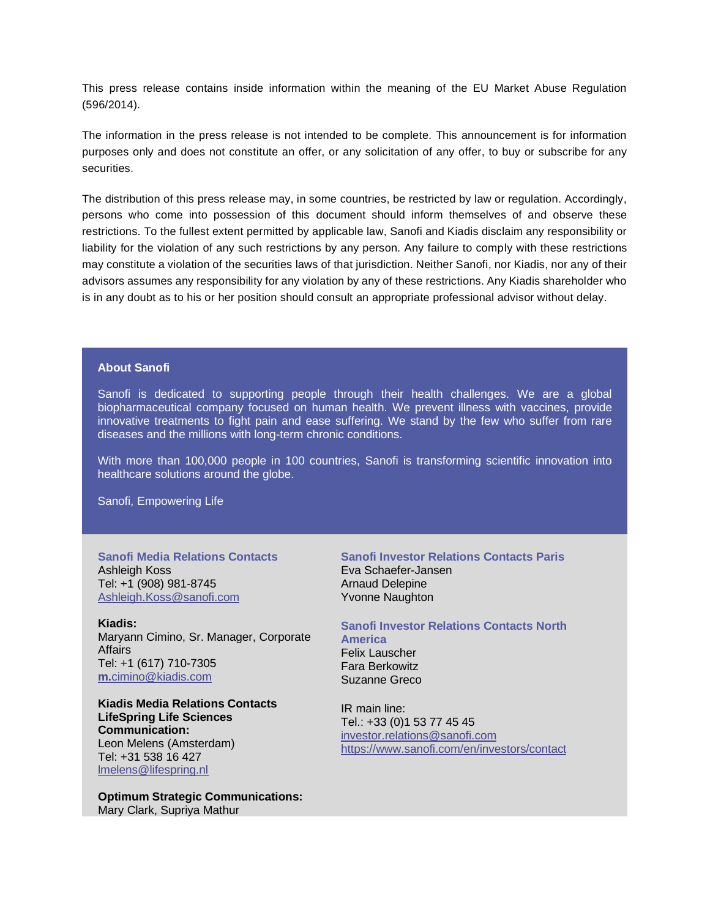This press release contains inside information within the meaning of the EU Market Abuse Regulation (596/2014).

The information in the press release is not intended to be complete. This announcement is for information purposes only and does not constitute an offer, or any solicitation of any offer, to buy or subscribe for any securities.

The distribution of this press release may, in some countries, be restricted by law or regulation. Accordingly, persons who come into possession of this document should inform themselves of and observe these restrictions. To the fullest extent permitted by applicable law, Sanofi and Kiadis disclaim any responsibility or liability for the violation of any such restrictions by any person. Any failure to comply with these restrictions may constitute a violation of the securities laws of that jurisdiction. Neither Sanofi, nor Kiadis, nor any of their advisors assumes any responsibility for any violation by any of these restrictions. Any Kiadis shareholder who is in any doubt as to his or her position should consult an appropriate professional advisor without delay.

#### **About Sanofi**

Sanofi is dedicated to supporting people through their health challenges. We are a global biopharmaceutical company focused on human health. We prevent illness with vaccines, provide innovative treatments to fight pain and ease suffering. We stand by the few who suffer from rare diseases and the millions with long-term chronic conditions.

With more than 100,000 people in 100 countries, Sanofi is transforming scientific innovation into healthcare solutions around the globe.

Sanofi, Empowering Life

**Sanofi Media Relations Contacts** Ashleigh Koss Tel: +1 (908) 981-8745 [Ashleigh.Koss@sanofi.com](mailto:Ashleigh.Koss@sanofi.com)

**Kiadis:** Maryann Cimino, Sr. Manager, Corporate Affairs Tel: +1 (617) 710-7305 **m.**[cimino@kiadis.com](mailto:m.cimino@kiadis.com)

**Kiadis Media Relations Contacts LifeSpring Life Sciences Communication:** Leon Melens (Amsterdam) Tel: +31 538 16 427 [lmelens@lifespring.nl](mailto:lmelens@lifespring.nl)

**Optimum Strategic Communications:** Mary Clark, Supriya Mathur

#### **Sanofi Investor Relations Contacts Paris** Eva Schaefer-Jansen Arnaud Delepine Yvonne Naughton

**Sanofi Investor Relations Contacts North America** Felix Lauscher Fara Berkowitz Suzanne Greco

IR main line: Tel.: +33 (0)1 53 77 45 45 [investor.relations@sanofi.com](mailto:investor.relations@sanofi.com) https://www.sanofi.com/en/investors/contact